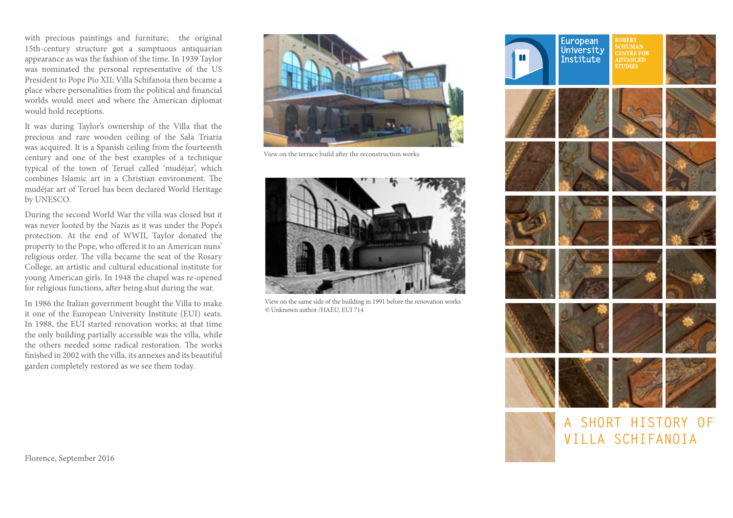with precious paintings and furniture; the original 15th-century structure got a sumptuous antiquarian appearance as was the fashion of the time. In 1939 Taylor was nominated the personal representative of the US President to Pope Pio XII; Villa Schifanoia then became a place where personalities from the political and financial worlds would meet and where the American diplomat would hold receptions.

It was during Taylor's ownership of the Villa that the precious and rare wooden ceiling of the Sala Triaria was acquired. It is a Spanish ceiling from the fourteenth century and one of the best examples of a technique typical of the town of Teruel called 'mudéjar', which combines Islamic art in a Christian environment. The mudéjar art of Teruel has been declared World Heritage by UNESCO.

During the second World War the villa was closed but it was never looted by the Nazis as it was under the Pope's protection. At the end of WWII, Taylor donated the property to the Pope, who offered it to an American nuns' religious order. The villa became the seat of the Rosary College, an artistic and cultural educational institute for young American girls. In 1948 the chapel was re-opened for religious functions, after being shut during the war.

In 1986 the Italian government bought the Villa to make it one of the European University Institute (EUI) seats. In 1988, the EUI started renovation works; at that time the only building partially accessible was the villa, while the others needed some radical restoration. The works finished in 2002 with the villa, its annexes and its beautiful garden completely restored as we see them today.



View on the terrace build after the reconstruction works



View on the same side of the building in 1991 before the renovation works *©* Unknown author /HAEU, EUI 714